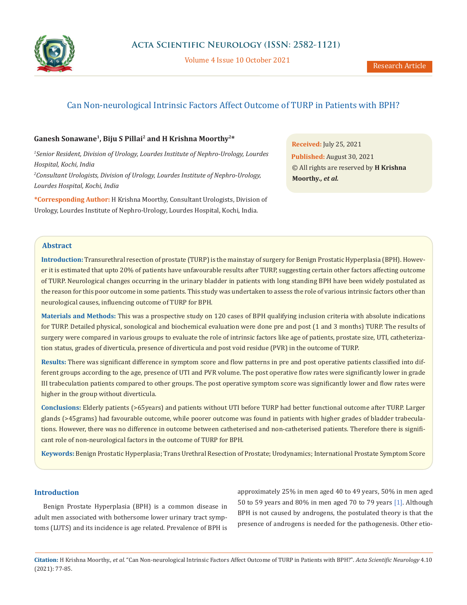

Volume 4 Issue 10 October 2021

# Can Non-neurological Intrinsic Factors Affect Outcome of TURP in Patients with BPH?

# **Ganesh Sonawane1, Biju S Pillai2 and H Krishna Moorthy2\***

*1 Senior Resident, Division of Urology, Lourdes Institute of Nephro-Urology, Lourdes Hospital, Kochi, India 2 Consultant Urologists, Division of Urology, Lourdes Institute of Nephro-Urology, Lourdes Hospital, Kochi, India*

**\*Corresponding Author:** H Krishna Moorthy, Consultant Urologists, Division of Urology, Lourdes Institute of Nephro-Urology, Lourdes Hospital, Kochi, India.

**Received:** July 25, 2021 **Published:** August 30, 2021 © All rights are reserved by **H Krishna Moorthy***., et al.*

# **Abstract**

**Introduction:** Transurethral resection of prostate (TURP) is the mainstay of surgery for Benign Prostatic Hyperplasia (BPH). However it is estimated that upto 20% of patients have unfavourable results after TURP, suggesting certain other factors affecting outcome of TURP. Neurological changes occurring in the urinary bladder in patients with long standing BPH have been widely postulated as the reason for this poor outcome in some patients. This study was undertaken to assess the role of various intrinsic factors other than neurological causes, influencing outcome of TURP for BPH.

**Materials and Methods:** This was a prospective study on 120 cases of BPH qualifying inclusion criteria with absolute indications for TURP. Detailed physical, sonological and biochemical evaluation were done pre and post (1 and 3 months) TURP. The results of surgery were compared in various groups to evaluate the role of intrinsic factors like age of patients, prostate size, UTI, catheterization status, grades of diverticula, presence of diverticula and post void residue (PVR) in the outcome of TURP.

**Results:** There was significant difference in symptom score and flow patterns in pre and post operative patients classified into different groups according to the age, presence of UTI and PVR volume. The post operative flow rates were significantly lower in grade III trabeculation patients compared to other groups. The post operative symptom score was significantly lower and flow rates were higher in the group without diverticula.

**Conclusions:** Elderly patients (>65years) and patients without UTI before TURP had better functional outcome after TURP. Larger glands (>45grams) had favourable outcome, while poorer outcome was found in patients with higher grades of bladder trabeculations. However, there was no difference in outcome between catheterised and non-catheterised patients. Therefore there is significant role of non-neurological factors in the outcome of TURP for BPH.

**Keywords:** Benign Prostatic Hyperplasia; Trans Urethral Resection of Prostate; Urodynamics; International Prostate Symptom Score

# **Introduction**

Benign Prostate Hyperplasia (BPH) is a common disease in adult men associated with bothersome lower urinary tract symptoms (LUTS) and its incidence is age related. Prevalence of BPH is approximately 25% in men aged 40 to 49 years, 50% in men aged 50 to 59 years and 80% in men aged 70 to 79 years [1]. Although BPH is not caused by androgens, the postulated theory is that the presence of androgens is needed for the pathogenesis. Other etio-

**Citation:** H Krishna Moorthy.*, et al.* "Can Non-neurological Intrinsic Factors Affect Outcome of TURP in Patients with BPH?". *Acta Scientific Neurology* 4.10 (2021): 77-85.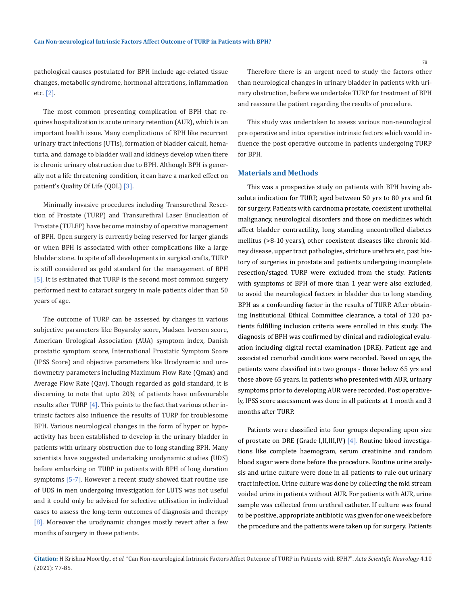pathological causes postulated for BPH include age-related tissue changes, metabolic syndrome, hormonal alterations, inflammation etc. [2].

The most common presenting complication of BPH that requires hospitalization is acute urinary retention (AUR), which is an important health issue. Many complications of BPH like recurrent urinary tract infections (UTIs), formation of bladder calculi, hematuria, and damage to bladder wall and kidneys develop when there is chronic urinary obstruction due to BPH. Although BPH is generally not a life threatening condition, it can have a marked effect on patient's Quality Of Life (QOL) [3].

Minimally invasive procedures including Transurethral Resection of Prostate (TURP) and Transurethral Laser Enucleation of Prostate (TULEP) have become mainstay of operative management of BPH. Open surgery is currently being reserved for larger glands or when BPH is associated with other complications like a large bladder stone. In spite of all developments in surgical crafts, TURP is still considered as gold standard for the management of BPH [5]. It is estimated that TURP is the second most common surgery performed next to cataract surgery in male patients older than 50 years of age.

The outcome of TURP can be assessed by changes in various subjective parameters like Boyarsky score, Madsen Iversen score, American Urological Association (AUA) symptom index, Danish prostatic symptom score, International Prostatic Symptom Score (IPSS Score) and objective parameters like Urodynamic and uroflowmetry parameters including Maximum Flow Rate (Qmax) and Average Flow Rate (Qav). Though regarded as gold standard, it is discerning to note that upto 20% of patients have unfavourable results after TURP  $[4]$ . This points to the fact that various other intrinsic factors also influence the results of TURP for troublesome BPH. Various neurological changes in the form of hyper or hypoactivity has been established to develop in the urinary bladder in patients with urinary obstruction due to long standing BPH. Many scientists have suggested undertaking urodynamic studies (UDS) before embarking on TURP in patients with BPH of long duration symptoms [5-7]. However a recent study showed that routine use of UDS in men undergoing investigation for LUTS was not useful and it could only be advised for selective utilisation in individual cases to assess the long-term outcomes of diagnosis and therapy [8]. Moreover the urodynamic changes mostly revert after a few months of surgery in these patients.

Therefore there is an urgent need to study the factors other than neurological changes in urinary bladder in patients with urinary obstruction, before we undertake TURP for treatment of BPH and reassure the patient regarding the results of procedure.

This study was undertaken to assess various non-neurological pre operative and intra operative intrinsic factors which would influence the post operative outcome in patients undergoing TURP for BPH.

#### **Materials and Methods**

This was a prospective study on patients with BPH having absolute indication for TURP, aged between 50 yrs to 80 yrs and fit for surgery. Patients with carcinoma prostate, coexistent urothelial malignancy, neurological disorders and those on medicines which affect bladder contractility, long standing uncontrolled diabetes mellitus (>8-10 years), other coexistent diseases like chronic kidney disease, upper tract pathologies, stricture urethra etc, past history of surgeries in prostate and patients undergoing incomplete resection/staged TURP were excluded from the study. Patients with symptoms of BPH of more than 1 year were also excluded, to avoid the neurological factors in bladder due to long standing BPH as a confounding factor in the results of TURP. After obtaining Institutional Ethical Committee clearance, a total of 120 patients fulfilling inclusion criteria were enrolled in this study. The diagnosis of BPH was confirmed by clinical and radiological evaluation including digital rectal examination (DRE). Patient age and associated comorbid conditions were recorded. Based on age, the patients were classified into two groups - those below 65 yrs and those above 65 years. In patients who presented with AUR, urinary symptoms prior to developing AUR were recorded. Post operatively, IPSS score assessment was done in all patients at 1 month and 3 months after TURP.

Patients were classified into four groups depending upon size of prostate on DRE (Grade I,II,III,IV) [4]. Routine blood investigations like complete haemogram, serum creatinine and random blood sugar were done before the procedure. Routine urine analysis and urine culture were done in all patients to rule out urinary tract infection. Urine culture was done by collecting the mid stream voided urine in patients without AUR. For patients with AUR, urine sample was collected from urethral catheter. If culture was found to be positive, appropriate antibiotic was given for one week before the procedure and the patients were taken up for surgery. Patients

78

**Citation:** H Krishna Moorthy.*, et al.* "Can Non-neurological Intrinsic Factors Affect Outcome of TURP in Patients with BPH?". *Acta Scientific Neurology* 4.10 (2021): 77-85.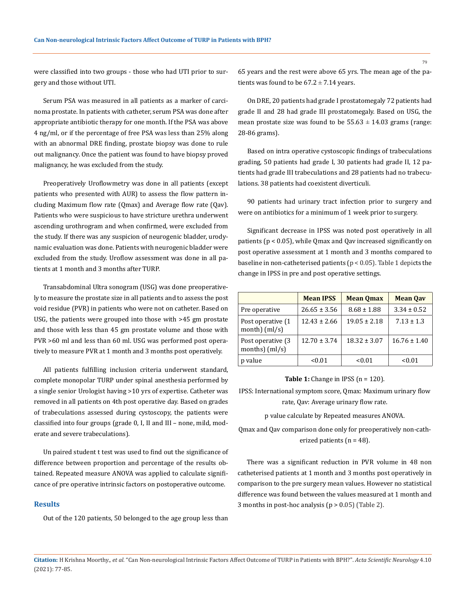were classified into two groups - those who had UTI prior to surgery and those without UTI.

Serum PSA was measured in all patients as a marker of carcinoma prostate. In patients with catheter, serum PSA was done after appropriate antibiotic therapy for one month. If the PSA was above 4 ng/ml, or if the percentage of free PSA was less than 25% along with an abnormal DRE finding, prostate biopsy was done to rule out malignancy. Once the patient was found to have biopsy proved malignancy, he was excluded from the study.

Preoperatively Uroflowmetry was done in all patients (except patients who presented with AUR) to assess the flow pattern including Maximum flow rate (Qmax) and Average flow rate (Qav). Patients who were suspicious to have stricture urethra underwent ascending urothrogram and when confirmed, were excluded from the study. If there was any suspicion of neurogenic bladder, urodynamic evaluation was done. Patients with neurogenic bladder were excluded from the study. Uroflow assessment was done in all patients at 1 month and 3 months after TURP.

Transabdominal Ultra sonogram (USG) was done preoperatively to measure the prostate size in all patients and to assess the post void residue (PVR) in patients who were not on catheter. Based on USG, the patients were grouped into those with >45 gm prostate and those with less than 45 gm prostate volume and those with PVR >60 ml and less than 60 ml. USG was performed post operatively to measure PVR at 1 month and 3 months post operatively.

All patients fulfilling inclusion criteria underwent standard, complete monopolar TURP under spinal anesthesia performed by a single senior Urologist having >10 yrs of expertise. Catheter was removed in all patients on 4th post operative day. Based on grades of trabeculations assessed during cystoscopy, the patients were classified into four groups (grade 0, I, II and III – none, mild, moderate and severe trabeculations).

Un paired student t test was used to find out the significance of difference between proportion and percentage of the results obtained. Repeated measure ANOVA was applied to calculate significance of pre operative intrinsic factors on postoperative outcome.

# **Results**

Out of the 120 patients, 50 belonged to the age group less than

65 years and the rest were above 65 yrs. The mean age of the patients was found to be  $67.2 \pm 7.14$  years.

On DRE, 20 patients had grade I prostatomegaly 72 patients had grade II and 28 had grade III prostatomegaly. Based on USG, the mean prostate size was found to be  $55.63 \pm 14.03$  grams (range: 28-86 grams).

Based on intra operative cystoscopic findings of trabeculations grading, 50 patients had grade I, 30 patients had grade II, 12 patients had grade III trabeculations and 28 patients had no trabeculations. 38 patients had coexistent diverticuli.

90 patients had urinary tract infection prior to surgery and were on antibiotics for a minimum of 1 week prior to surgery.

Significant decrease in IPSS was noted post operatively in all patients (p < 0.05), while Qmax and Qav increased significantly on post operative assessment at 1 month and 3 months compared to baseline in non-catheterised patients (p < 0.05). Table 1 depicts the change in IPSS in pre and post operative settings.

|                                        | <b>Mean IPSS</b> | <b>Mean Omax</b> | <b>Mean Oav</b>  |
|----------------------------------------|------------------|------------------|------------------|
| Pre operative                          | $26.65 \pm 3.56$ | $8.68 \pm 1.88$  | $3.34 \pm 0.52$  |
| Post operative (1<br>month) $(ml/s)$   | $12.43 \pm 2.66$ | $19.05 \pm 2.18$ | $7.13 \pm 1.3$   |
| Post operative (3)<br>months) $(ml/s)$ | $12.70 \pm 3.74$ | $18.32 \pm 3.07$ | $16.76 \pm 1.40$ |
| value                                  | < 0.01           | < 0.01           | < 0.01           |

**Table 1:** Change in IPSS (n = 120).

IPSS: International symptom score, Qmax: Maximum urinary flow rate, Qav: Average urinary flow rate.

p value calculate by Repeated measures ANOVA.

Qmax and Qav comparison done only for preoperatively non-catherized patients (n = 48).

There was a significant reduction in PVR volume in 48 non catheterised patients at 1 month and 3 months post operatively in comparison to the pre surgery mean values. However no statistical difference was found between the values measured at 1 month and 3 months in post-hoc analysis  $(p > 0.05)$  (Table 2).

**Citation:** H Krishna Moorthy.*, et al.* "Can Non-neurological Intrinsic Factors Affect Outcome of TURP in Patients with BPH?". *Acta Scientific Neurology* 4.10 (2021): 77-85.

79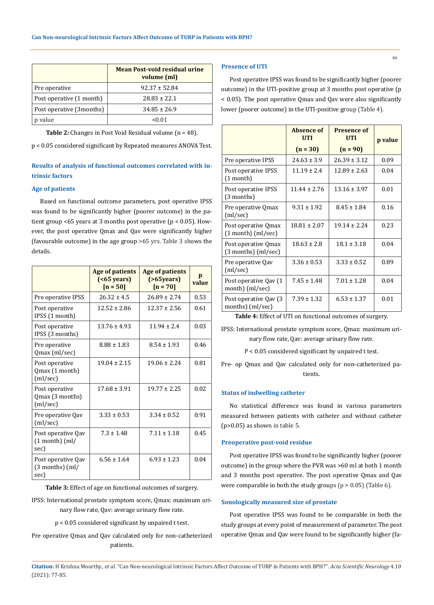|                          | Mean Post-void residual urine<br>volume (ml) |
|--------------------------|----------------------------------------------|
| Pre operative            | $92.37 \pm 52.84$                            |
| Post operative (1 month) | $28.83 \pm 22.1$                             |
| Post operative (3months) | $34.85 \pm 26.9$                             |
| value                    | 01 (۱-                                       |

**Table 2:** Changes in Post Void Residual volume (n = 48).

p < 0.05 considered significant by Repeated measures ANOVA Test.

# **Results of analysis of functional outcomes correlated with intrinsic factors**

# **Age of patients**

Based on functional outcome parameters, post operative IPSS was found to be significantly higher (poorer outcome) in the patient group <65 years at 3 months post operative (p < 0.05). However, the post operative Qmax and Qav were significantly higher (favourable outcome) in the age group >65 yrs. Table 3 shows the details.

|                                                   | Age of patients<br>( <b>65</b> years)<br>$[n = 50]$ | <b>Age of patients</b><br>$( > 65$ years)<br>$[n = 70]$ | p<br>value |
|---------------------------------------------------|-----------------------------------------------------|---------------------------------------------------------|------------|
| Pre operative IPSS                                | $26.32 \pm 4.5$                                     | $26.89 \pm 2.74$                                        | 0.53       |
| Post operative<br>IPSS (1 month)                  | $12.52 \pm 2.86$                                    | $12.37 \pm 2.56$                                        | 0.61       |
| Post operative<br>IPSS (3 months)                 | $13.76 \pm 4.93$                                    | $11.94 \pm 2.4$                                         | 0.03       |
| Pre operative<br>Qmax (ml/sec)                    | $8.88 \pm 1.83$                                     | $8.54 \pm 1.93$                                         | 0.46       |
| Post operative<br>Qmax (1 month)<br>(ml/sec)      | $19.04 + 2.15$                                      | $19.06 + 2.24$                                          | 0.81       |
| Post operative<br>Qmax (3 months)<br>(ml/sec)     | $17.68 \pm 3.91$                                    | $19.77 \pm 2.25$                                        | 0.02       |
| Pre operative Oav<br>(ml/sec)                     | $3.33 \pm 0.53$                                     | $3.34 \pm 0.52$                                         | 0.91       |
| Post operative Qav<br>$(1$ month $)$ (ml/<br>sec) | $7.3 \pm 1.48$                                      | $7.11 \pm 1.18$                                         | 0.45       |
| Post operative Qav<br>$(3$ months) $(m)/$<br>sec) | $6.56 \pm 1.64$                                     | $6.93 \pm 1.23$                                         | 0.04       |

**Table 3:** Effect of age on functional outcomes of surgery.

IPSS: International prostate symptom score, Qmax: maximum urinary flow rate, Qav: average urinary flow rate.

p < 0.05 considered significant by unpaired t test.

Pre operative Qmax and Qav calculated only for non-catheterized patients.

#### **Presence of UTI**

Post operative IPSS was found to be significantly higher (poorer outcome) in the UTI-positive group at 3 months post operative (p < 0.05). The post operative Qmax and Qav were also significantly lower (poorer outcome) in the UTI-positive group (Table 4).

|                                                | Absence of<br><b>UTI</b> | <b>Presence of</b><br>UTI | p value |
|------------------------------------------------|--------------------------|---------------------------|---------|
|                                                | $(n = 30)$               | $(n = 90)$                |         |
| Pre operative IPSS                             | $24.63 \pm 3.9$          | $26.39 + 3.12$            | 0.09    |
| Post operative IPSS<br>$(1$ month)             | $11.19 \pm 2.4$          | $12.89 \pm 2.63$          | 0.04    |
| Post operative IPSS<br>(3 months)              | $11.44 \pm 2.76$         | $13.16 \pm 3.97$          | 0.01    |
| Pre operative Qmax<br>(ml/sec)                 | $9.31 \pm 1.92$          | $8.45 \pm 1.84$           | 0.16    |
| Post operative Qmax<br>(1 month) (ml/sec)      | $18.81 \pm 2.07$         | $19.14 + 2.24$            | 0.23    |
| Post operative Qmax<br>$(3$ months) $(ml/sec)$ | $18.63 \pm 2.8$          | $18.1 \pm 3.18$           | 0.04    |
| Pre operative Qav<br>(ml/sec)                  | $3.36 \pm 0.53$          | $3.33 \pm 0.52$           | 0.89    |
| Post operative Qav (1<br>month) (ml/sec)       | $7.45 \pm 1.48$          | $7.01 \pm 1.28$           | 0.04    |
| Post operative Qav (3)<br>months) $(ml/sec)$   | $7.39 \pm 1.32$          | $6.53 \pm 1.37$           | 0.01    |

**Table 4:** Effect of UTI on functional outcomes of surgery.

IPSS: International prostate symptom score, Qmax: maximum urinary flow rate, Qav: average urinary flow rate.

P < 0.05 considered significant by unpaired t test.

Pre- op Qmax and Qav calculated only for non-catheterized patients.

#### **Status of indwelling catheter**

No statistical difference was found in various parameters measured between patients with catheter and without catheter (p>0.05) as shown in table 5.

#### **Preoperative post-void residue**

Post operative IPSS was found to be significantly higher (poorer outcome) in the group where the PVR was >60 ml at both 1 month and 3 months post operative. The post operative Qmax and Qav were comparable in both the study groups  $(p > 0.05)$  (Table 6).

#### **Sonologically measured size of prostate**

Post operative IPSS was found to be comparable in both the study groups at every point of measurement of parameter. The post operative Qmax and Qav were found to be significantly higher (fa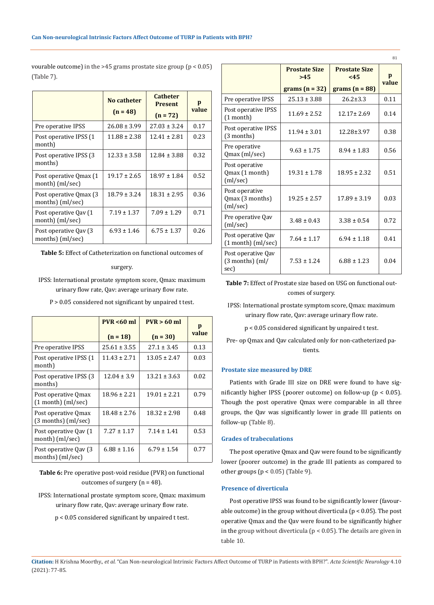vourable outcome) in the  $>45$  grams prostate size group ( $p < 0.05$ ) (Table 7).

|                                               | No catheter<br>$(n = 48)$ | <b>Catheter</b><br><b>Present</b><br>$(n = 72)$ | p<br>value |
|-----------------------------------------------|---------------------------|-------------------------------------------------|------------|
| Pre operative IPSS                            | $26.08 \pm 3.99$          | $27.03 \pm 3.24$                                | 0.17       |
| Post operative IPSS (1<br>month)              | $11.88 \pm 2.38$          | $12.41 \pm 2.81$                                | 0.23       |
| Post operative IPSS (3)<br>months)            | $12.33 \pm 3.58$          | $12.84 \pm 3.88$                                | 0.32       |
| Post operative Qmax (1)<br>month) (ml/sec)    | $19.17 \pm 2.65$          | $18.97 \pm 1.84$                                | 0.52       |
| Post operative Omax (3)<br>months) $(ml/sec)$ | $18.79 \pm 3.24$          | $18.31 \pm 2.95$                                | 0.36       |
| Post operative Qay (1)<br>month) (ml/sec)     | $7.19 \pm 1.37$           | $7.09 \pm 1.29$                                 | 0.71       |
| Post operative Qay (3)<br>months) (ml/sec)    | $6.93 \pm 1.46$           | $6.75 \pm 1.37$                                 | 0.26       |

**Table 5:** Effect of Catheterization on functional outcomes of

#### surgery.

IPSS: International prostate symptom score, Qmax: maximum urinary flow rate, Qav: average urinary flow rate.

P > 0.05 considered not significant by unpaired t test.

|                                                | $PVR < 60$ ml    | $PVR > 60$ ml    | p     |
|------------------------------------------------|------------------|------------------|-------|
|                                                | $(n = 18)$       | $(n = 30)$       | value |
| Pre operative IPSS                             | $25.61 \pm 3.55$ | $27.1 \pm 3.45$  | 0.13  |
| Post operative IPSS (1)<br>month)              | $11.43 \pm 2.71$ | $13.05 \pm 2.47$ | 0.03  |
| Post operative IPSS (3)<br>months)             | $12.04 \pm 3.9$  | $13.21 \pm 3.63$ | 0.02  |
| Post operative Omax<br>$(1$ month $)$ (ml/sec) | $18.96 \pm 2.21$ | $19.01 \pm 2.21$ | 0.79  |
| Post operative Qmax<br>$(3$ months) $(ml/sec)$ | $18.48 \pm 2.76$ | $18.32 \pm 2.98$ | 0.48  |
| Post operative Qav (1<br>month) (ml/sec)       | $7.27 \pm 1.17$  | $7.14 \pm 1.41$  | 0.53  |
| Post operative Qay (3)<br>months) $(ml/sec)$   | $6.88 \pm 1.16$  | $6.79 \pm 1.54$  | 0.77  |

**Table 6:** Pre operative post-void residue (PVR) on functional outcomes of surgery (n = 48).

- IPSS: International prostate symptom score, Qmax: maximum urinary flow rate, Qav: average urinary flow rate.
	- p < 0.05 considered significant by unpaired t test.

|                                                                |                                                            |                  | 81         |
|----------------------------------------------------------------|------------------------------------------------------------|------------------|------------|
|                                                                | <b>Prostate Size</b><br><b>Prostate Size</b><br>>45<br><45 |                  | p<br>value |
|                                                                | grams $(n = 32)$                                           | grams $(n = 88)$ |            |
| Pre operative IPSS                                             | $25.13 \pm 3.88$                                           | $26.2 \pm 3.3$   | 0.11       |
| Post operative IPSS<br>$(1$ month)                             | $11.69 \pm 2.52$                                           | $12.17 \pm 2.69$ | 0.14       |
| Post operative IPSS<br>(3 months)                              | $11.94 \pm 3.01$                                           | 12.28±3.97       | 0.38       |
| Pre operative<br>Qmax (ml/sec)                                 | $9.63 \pm 1.75$                                            | $8.94 \pm 1.83$  | 0.56       |
| Post operative<br>Qmax (1 month)<br>(ml/sec)                   | $19.31 \pm 1.78$                                           | $18.95 \pm 2.32$ | 0.51       |
| Post operative<br>Qmax (3 months)<br>(ml/sec)                  | $19.25 \pm 2.57$                                           | $17.89 \pm 3.19$ | 0.03       |
| Pre operative Qav<br>(ml/sec)                                  | $3.48 \pm 0.43$                                            | $3.38 \pm 0.54$  | 0.72       |
| Post operative Qav<br>$(1$ month $)$ (ml/sec)                  | $7.64 \pm 1.17$                                            | $6.94 \pm 1.18$  | 0.41       |
| Post operative Qav<br>$(3$ months) $\text{m}/\text{s}$<br>sec) | $7.53 \pm 1.24$                                            | $6.88 \pm 1.23$  | 0.04       |

**Table 7:** Effect of Prostate size based on USG on functional outcomes of surgery.

IPSS: International prostate symptom score, Qmax: maximum urinary flow rate, Qav: average urinary flow rate.

p < 0.05 considered significant by unpaired t test.

Pre- op Qmax and Qav calculated only for non-catheterized patients.

# **Prostate size measured by DRE**

Patients with Grade III size on DRE were found to have significantly higher IPSS (poorer outcome) on follow-up (p < 0.05). Though the post operative Qmax were comparable in all three groups, the Qav was significantly lower in grade III patients on follow-up (Table 8).

# **Grades of trabeculations**

The post operative Qmax and Qav were found to be significantly lower (poorer outcome) in the grade III patients as compared to other groups ( $p < 0.05$ ) (Table 9).

# **Presence of diverticula**

Post operative IPSS was found to be significantly lower (favourable outcome) in the group without diverticula ( $p < 0.05$ ). The post operative Qmax and the Qav were found to be significantly higher in the group without diverticula (p < 0.05). The details are given in table 10.

**Citation:** H Krishna Moorthy.*, et al.* "Can Non-neurological Intrinsic Factors Affect Outcome of TURP in Patients with BPH?". *Acta Scientific Neurology* 4.10 (2021): 77-85.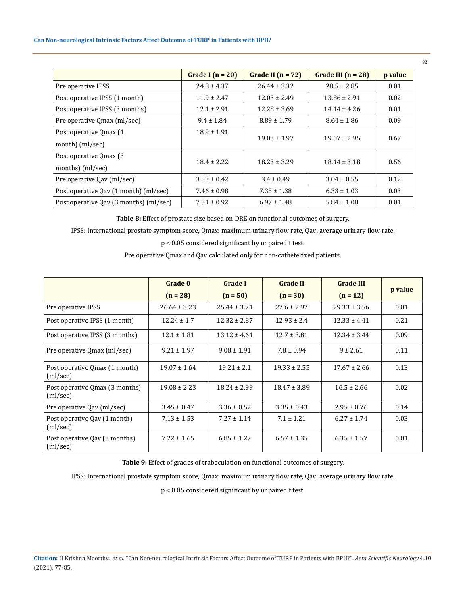# **Can Non-neurological Intrinsic Factors Affect Outcome of TURP in Patients with BPH?**

|                                        | Grade I $(n = 20)$ | Grade II $(n = 72)$ | Grade III $(n = 28)$ | p value |
|----------------------------------------|--------------------|---------------------|----------------------|---------|
| Pre operative IPSS                     | $24.8 \pm 4.37$    | $26.44 \pm 3.32$    | $28.5 \pm 2.85$      | 0.01    |
| Post operative IPSS (1 month)          | $11.9 \pm 2.47$    | $12.03 \pm 2.49$    | $13.86 \pm 2.91$     | 0.02    |
| Post operative IPSS (3 months)         | $12.1 \pm 2.91$    | $12.28 \pm 3.69$    | $14.14 \pm 4.26$     | 0.01    |
| Pre operative Qmax (ml/sec)            | $9.4 \pm 1.84$     | $8.89 \pm 1.79$     | $8.64 \pm 1.86$      | 0.09    |
| Post operative Qmax (1)                | $18.9 \pm 1.91$    |                     |                      |         |
| month) (ml/sec)                        |                    | $19.03 \pm 1.97$    | $19.07 \pm 2.95$     | 0.67    |
| Post operative Qmax (3)                |                    |                     |                      |         |
| months) (ml/sec)                       | $18.4 \pm 2.22$    | $18.23 \pm 3.29$    | $18.14 \pm 3.18$     | 0.56    |
| Pre operative Qav (ml/sec)             | $3.53 \pm 0.42$    | $3.4 \pm 0.49$      | $3.04 \pm 0.55$      | 0.12    |
| Post operative Qav (1 month) (ml/sec)  | $7.46 \pm 0.98$    | $7.35 \pm 1.38$     | $6.33 \pm 1.03$      | 0.03    |
| Post operative Oav (3 months) (ml/sec) | $7.31 \pm 0.92$    | $6.97 \pm 1.48$     | $5.84 \pm 1.08$      | 0.01    |

**Table 8:** Effect of prostate size based on DRE on functional outcomes of surgery.

IPSS: International prostate symptom score, Qmax: maximum urinary flow rate, Qav: average urinary flow rate.

p < 0.05 considered significant by unpaired t test.

Pre operative Qmax and Qav calculated only for non-catheterized patients.

|                                            | Grade 0          | <b>Grade I</b>   | <b>Grade II</b>  | <b>Grade III</b> |         |
|--------------------------------------------|------------------|------------------|------------------|------------------|---------|
|                                            | $(n = 28)$       | $(n = 50)$       | $(n = 30)$       | $(n = 12)$       | p value |
| Pre operative IPSS                         | $26.64 \pm 3.23$ | $25.44 \pm 3.71$ | $27.6 \pm 2.97$  | $29.33 \pm 3.56$ | 0.01    |
| Post operative IPSS (1 month)              | $12.24 \pm 1.7$  | $12.32 \pm 2.87$ | $12.93 \pm 2.4$  | $12.33 \pm 4.41$ | 0.21    |
| Post operative IPSS (3 months)             | $12.1 \pm 1.81$  | $13.12 \pm 4.61$ | $12.7 \pm 3.81$  | $12.34 \pm 3.44$ | 0.09    |
| Pre operative Qmax (ml/sec)                | $9.21 \pm 1.97$  | $9.08 \pm 1.91$  | $7.8 \pm 0.94$   | $9 \pm 2.61$     | 0.11    |
| Post operative Qmax (1 month)<br>(ml/sec)  | $19.07 \pm 1.64$ | $19.21 \pm 2.1$  | $19.33 \pm 2.55$ | $17.67 \pm 2.66$ | 0.13    |
| Post operative Qmax (3 months)<br>(ml/sec) | $19.08 \pm 2.23$ | $18.24 \pm 2.99$ | $18.47 \pm 3.89$ | $16.5 \pm 2.66$  | 0.02    |
| Pre operative Qav (ml/sec)                 | $3.45 \pm 0.47$  | $3.36 \pm 0.52$  | $3.35 \pm 0.43$  | $2.95 \pm 0.76$  | 0.14    |
| Post operative Qav (1 month)<br>(ml/sec)   | $7.13 \pm 1.53$  | $7.27 \pm 1.14$  | $7.1 \pm 1.21$   | $6.27 \pm 1.74$  | 0.03    |
| Post operative Qav (3 months)<br>(ml/sec)  | $7.22 \pm 1.65$  | $6.85 \pm 1.27$  | $6.57 \pm 1.35$  | $6.35 \pm 1.57$  | 0.01    |

**Table 9:** Effect of grades of trabeculation on functional outcomes of surgery.

IPSS: International prostate symptom score, Qmax: maximum urinary flow rate, Qav: average urinary flow rate.

p < 0.05 considered significant by unpaired t test.

82

**Citation:** H Krishna Moorthy.*, et al.* "Can Non-neurological Intrinsic Factors Affect Outcome of TURP in Patients with BPH?". *Acta Scientific Neurology* 4.10 (2021): 77-85.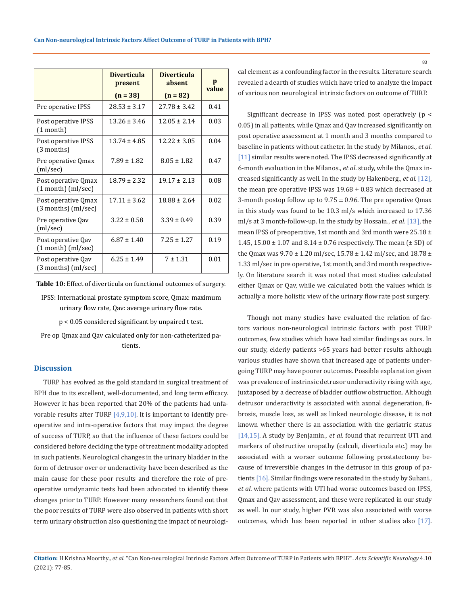|                                               | <b>Diverticula</b><br>present<br>$(n = 38)$ | <b>Diverticula</b><br>absent<br>$(n = 82)$ | p<br>value |
|-----------------------------------------------|---------------------------------------------|--------------------------------------------|------------|
| Pre operative IPSS                            | $28.53 \pm 3.17$                            | $27.78 \pm 3.42$                           | 0.41       |
| Post operative IPSS<br>$(1$ month)            | $13.26 \pm 3.46$                            | $12.05 \pm 2.14$                           | 0.03       |
| Post operative IPSS<br>(3 months)             | $13.74 \pm 4.85$                            | $12.22 \pm 3.05$                           | 0.04       |
| Pre operative Qmax<br>(ml/sec)                | $7.89 \pm 1.82$                             | $8.05 \pm 1.82$                            | 0.47       |
| Post operative Qmax<br>$(1$ month) $(ml/sec)$ | $18.79 \pm 2.32$                            | $19.17 \pm 2.13$                           | 0.08       |
| Post operative Qmax<br>(3 months) (ml/sec)    | $17.11 \pm 3.62$                            | $18.88 + 2.64$                             | 0.02       |
| Pre operative Qav<br>(ml/sec)                 | $3.22 \pm 0.58$                             | $3.39 \pm 0.49$                            | 0.39       |
| Post operative Qav<br>(1 month) (ml/sec)      | $6.87 \pm 1.40$                             | $7.25 \pm 1.27$                            | 0.19       |
| Post operative Qav<br>$(3$ months) $(ml/sec)$ | $6.25 \pm 1.49$                             | $7 \pm 1.31$                               | 0.01       |

**Table 10:** Effect of diverticula on functional outcomes of surgery.

IPSS: International prostate symptom score, Qmax: maximum urinary flow rate, Qav: average urinary flow rate.

p < 0.05 considered significant by unpaired t test.

Pre op Qmax and Qav calculated only for non-catheterized patients.

#### **Discussion**

TURP has evolved as the gold standard in surgical treatment of BPH due to its excellent, well-documented, and long term efficacy. However it has been reported that 20% of the patients had unfavorable results after TURP  $[4,9,10]$ . It is important to identify preoperative and intra-operative factors that may impact the degree of success of TURP, so that the influence of these factors could be considered before deciding the type of treatment modality adopted in such patients. Neurological changes in the urinary bladder in the form of detrusor over or underactivity have been described as the main cause for these poor results and therefore the role of preoperative urodynamic tests had been advocated to identify these changes prior to TURP. However many researchers found out that the poor results of TURP were also observed in patients with short term urinary obstruction also questioning the impact of neurological element as a confounding factor in the results. Literature search revealed a dearth of studies which have tried to analyze the impact of various non neurological intrinsic factors on outcome of TURP.

Significant decrease in IPSS was noted post operatively (p < 0.05) in all patients, while Qmax and Qav increased significantly on post operative assessment at 1 month and 3 months compared to baseline in patients without catheter. In the study by Milanos., *et al*. [11] similar results were noted. The IPSS decreased significantly at 6-month evaluation in the Milanos., *et al*. study, while the Qmax increased significantly as well. In the study by Hakenberg., *et al*. [12], the mean pre operative IPSS was  $19.68 \pm 0.83$  which decreased at 3-month postop follow up to  $9.75 \pm 0.96$ . The pre operative Qmax in this study was found to be 10.3 ml/s which increased to 17.36 ml/s at 3 month-follow-up. In the study by Hossain., *et al*. [13], the mean IPSS of preoperative, 1st month and 3rd month were 25.18 ± 1.45, 15.00  $\pm$  1.07 and 8.14  $\pm$  0.76 respectively. The mean ( $\pm$  SD) of the Qmax was 9.70 ± 1.20 ml/sec, 15.78 ± 1.42 ml/sec, and 18.78 ± 1.33 ml/sec in pre operative, 1st month, and 3rd month respectively. On literature search it was noted that most studies calculated either Qmax or Qav, while we calculated both the values which is actually a more holistic view of the urinary flow rate post surgery.

Though not many studies have evaluated the relation of factors various non-neurological intrinsic factors with post TURP outcomes, few studies which have had similar findings as ours. In our study, elderly patients >65 years had better results although various studies have shown that increased age of patients undergoing TURP may have poorer outcomes. Possible explanation given was prevalence of instrinsic detrusor underactivity rising with age, juxtaposed by a decrease of bladder outflow obstruction. Although detrusor underactivity is associated with axonal degeneration, fibrosis, muscle loss, as well as linked neurologic disease, it is not known whether there is an association with the geriatric status [14,15]. A study by Benjamin., *et al*. found that recurrent UTI and markers of obstructive uropathy (calculi, diverticula etc.) may be associated with a worser outcome following prostatectomy because of irreversible changes in the detrusor in this group of patients [16]. Similar findings were resonated in the study by Suhani., *et al*. where patients with UTI had worse outcomes based on IPSS, Qmax and Qav assessment, and these were replicated in our study as well. In our study, higher PVR was also associated with worse outcomes, which has been reported in other studies also [17].

# **Citation:** H Krishna Moorthy.*, et al.* "Can Non-neurological Intrinsic Factors Affect Outcome of TURP in Patients with BPH?". *Acta Scientific Neurology* 4.10 (2021): 77-85.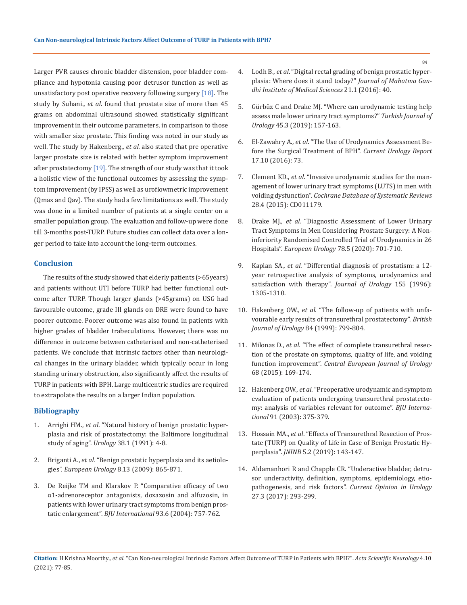Larger PVR causes chronic bladder distension, poor bladder compliance and hypotonia causing poor detrusor function as well as unsatisfactory post operative recovery following surgery [18]. The study by Suhani., *et al*. found that prostate size of more than 45 grams on abdominal ultrasound showed statistically significant improvement in their outcome parameters, in comparison to those with smaller size prostate. This finding was noted in our study as well. The study by Hakenberg., *et al.* also stated that pre operative larger prostate size is related with better symptom improvement after prostatectomy [19]. The strength of our study was that it took a holistic view of the functional outcomes by assessing the symptom improvement (by IPSS) as well as uroflowmetric improvement (Qmax and Qav). The study had a few limitations as well. The study was done in a limited number of patients at a single center on a smaller population group. The evaluation and follow-up were done till 3-months post-TURP. Future studies can collect data over a longer period to take into account the long-term outcomes.

#### **Conclusion**

The results of the study showed that elderly patients (>65years) and patients without UTI before TURP had better functional outcome after TURP. Though larger glands (>45grams) on USG had favourable outcome, grade III glands on DRE were found to have poorer outcome. Poorer outcome was also found in patients with higher grades of bladder trabeculations. However, there was no difference in outcome between catheterised and non-catheterised patients. We conclude that intrinsic factors other than neurological changes in the urinary bladder, which typically occur in long standing urinary obstruction, also significantly affect the results of TURP in patients with BPH. Large multicentric studies are required to extrapolate the results on a larger Indian population.

#### **Bibliography**

- 1. Arrighi HM., *et al*[. "Natural history of benign prostatic hyper](https://pubmed.ncbi.nlm.nih.gov/1714657/)[plasia and risk of prostatectomy: the Baltimore longitudinal](https://pubmed.ncbi.nlm.nih.gov/1714657/)  study of aging". *Urology* [38.1 \(1991\): 4-8.](https://pubmed.ncbi.nlm.nih.gov/1714657/)
- 2. Briganti A., *et al*[. "Benign prostatic hyperplasia and its aetiolo](https://www.sciencedirect.com/science/article/abs/pii/S156990560900133X)gies". *European Urology* [8.13 \(2009\): 865-871.](https://www.sciencedirect.com/science/article/abs/pii/S156990560900133X)
- 3. [De Reijke TM and Klarskov P. "Comparative efficacy of two](https://pubmed.ncbi.nlm.nih.gov/15049986/)  [α1‐adrenoreceptor antagonists, doxazosin and alfuzosin, in](https://pubmed.ncbi.nlm.nih.gov/15049986/)  [patients with lower urinary tract symptoms from benign pros](https://pubmed.ncbi.nlm.nih.gov/15049986/)tatic enlargement". *BJU International* [93.6 \(2004\): 757-762.](https://pubmed.ncbi.nlm.nih.gov/15049986/)
- 4. Lodh B., *et al*[. "Digital rectal grading of benign prostatic hyper](https://www.jmgims.co.in/article.asp?issn=0971-9903;year=2016;volume=21;issue=1;spage=40;epage=45;aulast=Lodh)[plasia: Where does it stand today?"](https://www.jmgims.co.in/article.asp?issn=0971-9903;year=2016;volume=21;issue=1;spage=40;epage=45;aulast=Lodh) *Journal of Mahatma Gan[dhi Institute of Medical Sciences](https://www.jmgims.co.in/article.asp?issn=0971-9903;year=2016;volume=21;issue=1;spage=40;epage=45;aulast=Lodh)* 21.1 (2016): 40.
- 5. [Gürbüz C and Drake MJ. "Where can urodynamic testing help](https://europepmc.org/article/pmc/6469732)  [assess male lower urinary tract symptoms?"](https://europepmc.org/article/pmc/6469732) *Turkish Journal of Urology* [45.3 \(2019\): 157-163.](https://europepmc.org/article/pmc/6469732)
- 6. El-Zawahry A., *et al*[. "The Use of Urodynamics Assessment Be](https://pubmed.ncbi.nlm.nih.gov/27535043/)[fore the Surgical Treatment of BPH".](https://pubmed.ncbi.nlm.nih.gov/27535043/) *Current Urology Report* [17.10 \(2016\): 73.](https://pubmed.ncbi.nlm.nih.gov/27535043/)
- 7. Clement KD., *et al*[. "Invasive urodynamic studies for the man](https://pubmed.ncbi.nlm.nih.gov/25918922/)[agement of lower urinary tract symptoms \(LUTS\) in men with](https://pubmed.ncbi.nlm.nih.gov/25918922/)  voiding dysfunction". *[Cochrane Database of Systematic Reviews](https://pubmed.ncbi.nlm.nih.gov/25918922/)*  [28.4 \(2015\): CD011179.](https://pubmed.ncbi.nlm.nih.gov/25918922/)
- 8. Drake MJ., *et al*[. "Diagnostic Assessment of Lower Urinary](https://pubmed.ncbi.nlm.nih.gov/32616406/)  [Tract Symptoms in Men Considering Prostate Surgery: A Non](https://pubmed.ncbi.nlm.nih.gov/32616406/)[inferiority Randomised Controlled Trial of Urodynamics in 26](https://pubmed.ncbi.nlm.nih.gov/32616406/)  Hospitals". *[European Urology](https://pubmed.ncbi.nlm.nih.gov/32616406/)* 78.5 (2020): 701-710.
- 9. Kaplan SA., *et al*[. "Differential diagnosis of prostatism: a 12](https://pubmed.ncbi.nlm.nih.gov/8632561/) [year retrospective analysis of symptoms, urodynamics and](https://pubmed.ncbi.nlm.nih.gov/8632561/)  [satisfaction with therapy".](https://pubmed.ncbi.nlm.nih.gov/8632561/) *Journal of Urology* 155 (1996): [1305-1310.](https://pubmed.ncbi.nlm.nih.gov/8632561/)
- 10. Hakenberg OW., *et al*[. "The follow-up of patients with unfa](https://pubmed.ncbi.nlm.nih.gov/10532975/)[vourable early results of transurethral prostatectomy".](https://pubmed.ncbi.nlm.nih.gov/10532975/) *British [Journal of Urology](https://pubmed.ncbi.nlm.nih.gov/10532975/)* 84 (1999): 799-804.
- 11. Milonas D., *et al*[. "The effect of complete transurethral resec](https://www.ncbi.nlm.nih.gov/pmc/articles/PMC4526604/)[tion of the prostate on symptoms, quality of life, and voiding](https://www.ncbi.nlm.nih.gov/pmc/articles/PMC4526604/)  function improvement". *[Central European Journal of Urology](https://www.ncbi.nlm.nih.gov/pmc/articles/PMC4526604/)*  [68 \(2015\): 169-174.](https://www.ncbi.nlm.nih.gov/pmc/articles/PMC4526604/)
- 12. Hakenberg OW., *et al*[. "Preoperative urodynamic and symptom](https://pubmed.ncbi.nlm.nih.gov/12603418/)  [evaluation of patients undergoing transurethral prostatecto](https://pubmed.ncbi.nlm.nih.gov/12603418/)[my: analysis of variables relevant for outcome".](https://pubmed.ncbi.nlm.nih.gov/12603418/) *BJU International* [91 \(2003\): 375-379.](https://pubmed.ncbi.nlm.nih.gov/12603418/)
- 13. Hossain MA., *et al*. "Effects of Transurethral Resection of Prostate (TURP) on Quality of Life in Case of Benign Prostatic Hyperplasia". *JNINB* 5.2 (2019): 143-147.
- 14. [Aldamanhori R and Chapple CR. "Underactive bladder, detru](https://pubmed.ncbi.nlm.nih.gov/28221218/)[sor underactivity, definition, symptoms, epidemiology, etio](https://pubmed.ncbi.nlm.nih.gov/28221218/)pathogenesis, and risk factors". *[Current Opinion in Urology](https://pubmed.ncbi.nlm.nih.gov/28221218/)*  [27.3 \(2017\): 293-299.](https://pubmed.ncbi.nlm.nih.gov/28221218/)

**Citation:** H Krishna Moorthy.*, et al.* "Can Non-neurological Intrinsic Factors Affect Outcome of TURP in Patients with BPH?". *Acta Scientific Neurology* 4.10 (2021): 77-85.